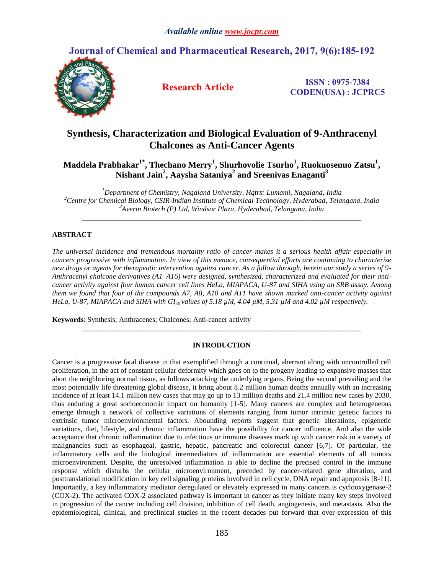# **Journal of Chemical and Pharmaceutical Research, 2017, 9(6):185-192**



**Research Article ISSN : 0975-7384 CODEN(USA) : JCPRC5**

# **Synthesis, Characterization and Biological Evaluation of 9-Anthracenyl Chalcones as Anti-Cancer Agents**

**Maddela Prabhakar1\* , Thechano Merry<sup>1</sup> , Shurhovolie Tsurho<sup>1</sup> , Ruokuosenuo Zatsu<sup>1</sup> , Nishant Jain<sup>2</sup> , Aaysha Sataniya<sup>2</sup> and Sreenivas Enaganti<sup>3</sup>**

*<sup>1</sup>Department of Chemistry, Nagaland University, Hqtrs: Lumami, Nagaland, India <sup>2</sup>Centre for Chemical Biology, CSIR-Indian Institute of Chemical Technology, Hyderabad, Telangana, India <sup>3</sup>Averin Biotech (P) Ltd, Windsor Plaza, Hyderabad, Telangana, India*

*\_\_\_\_\_\_\_\_\_\_\_\_\_\_\_\_\_\_\_\_\_\_\_\_\_\_\_\_\_\_\_\_\_\_\_\_\_\_\_\_\_\_\_\_\_\_\_\_\_\_\_\_\_\_\_\_\_\_\_\_\_\_\_\_\_\_\_\_\_\_\_\_\_\_\_\_\_*

## **ABSTRACT**

*The universal incidence and tremendous mortality ratio of cancer makes it a serious health affair especially in cancers progressive with inflammation. In view of this menace, consequential efforts are continuing to characterize new drugs or agents for therapeutic intervention against cancer. As a follow through, herein our study a series of 9- Anthracenyl chalcone derivatives (A1–A16) were designed, synthesized, characterized and evaluated for their anticancer activity against four human cancer cell lines HeLa, MIAPACA, U-87 and SIHA using an SRB assay. Among them we found that four of the compounds A7, A8, A10 and A11 have shown marked anti-cancer activity against HeLa, U-87, MIAPACA and SIHA with GI50 values of 5.18 µM, 4.04 µM, 5.31 µM and 4.02 µM respectively.* 

**Keywords**: Synthesis; Anthracenes; Chalcones; Anti-cancer activity

#### **INTRODUCTION**

*\_\_\_\_\_\_\_\_\_\_\_\_\_\_\_\_\_\_\_\_\_\_\_\_\_\_\_\_\_\_\_\_\_\_\_\_\_\_\_\_\_\_\_\_\_\_\_\_\_\_\_\_\_\_\_\_\_\_\_\_\_\_\_\_\_\_\_\_\_\_\_\_\_\_\_\_\_*

Cancer is a progressive fatal disease in that exemplified through a continual, aberrant along with uncontrolled cell proliferation, in the act of constant cellular deformity which goes on to the progeny leading to expansive masses that abort the neighboring normal tissue, as follows attacking the underlying organs. Being the second prevailing and the most potentially life threatening global disease, it bring about 8.2 million human deaths annually with an increasing incidence of at least 14.1 million new cases that may go up to 13 million deaths and 21.4 million new cases by 2030, thus enduring a great socioeconomic impact on humanity [1-5]. Many cancers are complex and heterogeneous emerge through a network of collective variations of elements ranging from tumor intrinsic genetic factors to extrinsic tumor microenvironmental factors. Abounding reports suggest that genetic alterations, epigenetic variations, diet, lifestyle, and chronic inflammation have the possibility for cancer influence. And also the wide acceptance that chronic inflammation due to infectious or immune diseases mark up with cancer risk in a variety of malignancies such as esophageal, gastric, hepatic, pancreatic and colorectal cancer [6,7]. Of particular, the inflammatory cells and the biological intermediators of inflammation are essential elements of all tumors microenvironment. Despite, the unresolved inflammation is able to decline the precised control in the immune response which disturbs the cellular microenvironment, preceded by cancer-related gene alteration, and posttranslational modification in key cell signaling proteins involved in cell cycle, DNA repair and apoptosis [8-11]. Importantly, a key inflammatory mediator deregulated or elevately expressed in many cancers is cyclooxygenase-2 (COX-2). The activated COX-2 associated pathway is important in cancer as they initiate many key steps involved in progression of the cancer including cell division, inhibition of cell death, angiogenesis, and metastasis. Also the epidemiological, clinical, and preclinical studies in the recent decades put forward that over-expression of this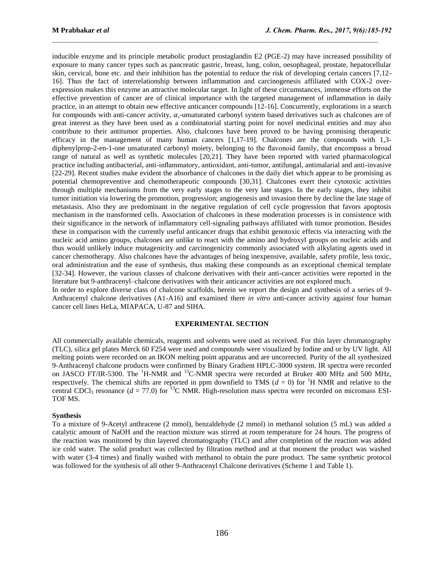inducible enzyme and its principle metabolic product prostaglandin E2 (PGE-2) may have increased possibility of exposure to many cancer types such as pancreatic gastric, breast, lung, colon, oesophageal, prostate, hepatocellular skin, cervical, bone etc. and their inhibition has the potential to reduce the risk of developing certain cancers [7,12- 16]. Thus the fact of interrelationship between inflammation and carcinogenesis affiliated with COX-2 overexpression makes this enzyme an attractive molecular target. In light of these circumstances, immense efforts on the effective prevention of cancer are of clinical importance with the targeted management of inflammation in daily practice, in an attempt to obtain new effective anticancer compounds [12-16]. Concurrently, explorations in a search for compounds with anti-cancer activity,  $\alpha$ ,-unsaturated carbonyl system based derivatives such as chalcones are of great interest as they have been used as a combinatorial starting point for novel medicinal entities and may also contribute to their antitumor properties. Also, chalcones have been proved to be having promising therapeutic efficacy in the management of many human cancers [1,17-19]. Chalcones are the compounds with 1,3 diphenylprop-2-en-1-one unsaturated carbonyl moiety, belonging to the flavonoid family, that encompass a broad range of natural as well as synthetic molecules [20,21]. They have been reported with varied pharmacological practice including antibacterial, anti-inflammatory, antioxidant, anti-tumor, antifungal, antimalarial and anti-invasive [22-29]. Recent studies make evident the absorbance of chalcones in the daily diet which appear to be promising as potential chemopreventive and chemotherapeutic compounds [30,31]. Chalcones exert their cytotoxic activities through multiple mechanisms from the very early stages to the very late stages. In the early stages, they inhibit tumor initiation via lowering the promotion, progression; angiogenesis and invasion there by decline the late stage of metastasis. Also they are predominant in the negative regulation of cell cycle progression that favors apoptosis mechanism in the transformed cells. Association of chalcones in these moderation processes is in consistence with their significance in the network of inflammatory cell-signaling pathways affiliated with tumor promotion. Besides these in comparison with the currently useful anticancer drugs that exhibit genotoxic effects via interacting with the nucleic acid amino groups, chalcones are unlike to react with the amino and hydroxyl groups on nucleic acids and thus would unlikely induce mutagenicity and carcinogenicity commonly associated with alkylating agents used in cancer chemotherapy. Also chalcones have the advantages of being inexpensive, available, safety profile, less toxic, oral administration and the ease of synthesis, thus making these compounds as an exceptional chemical template [32-34]. However, the various classes of chalcone derivatives with their anti-cancer activities were reported in the literature but 9-anthracenyl–chalcone derivatives with their anticancer activities are not explored much.

 $\mathcal{L}_\text{max}$ 

In order to explore diverse class of chalcone scaffolds, herein we report the design and synthesis of a series of 9- Anthracenyl chalcone derivatives (A1-A16) and examined there *in vitro* anti-cancer activity against four human cancer cell lines HeLa, MIAPACA, U-87 and SIHA.

#### **EXPERIMENTAL SECTION**

All commercially available chemicals, reagents and solvents were used as received. For thin layer chromatography (TLC), silica gel plates Merck 60 F254 were used and compounds were visualized by Iodine and or by UV light. All melting points were recorded on an IKON melting point apparatus and are uncorrected. Purity of the all synthesized 9-Anthracenyl chalcone products were confirmed by Binary Gradient HPLC-3000 system. IR spectra were recorded on JASCO FT/IR-5300. The <sup>1</sup>H-NMR and <sup>13</sup>C-NMR spectra were recorded at Bruker 400 MHz and 500 MHz, respectively. The chemical shifts are reported in ppm downfield to TMS ( $d = 0$ ) for <sup>1</sup>H NMR and relative to the central CDCl<sub>3</sub> resonance ( $d = 77.0$ ) for <sup>13</sup>C NMR. High-resolution mass spectra were recorded on micromass ESI-TOF MS.

#### **Synthesis**

To a mixture of 9-Acetyl anthracene (2 mmol), benzaldehyde (2 mmol) in methanol solution (5 mL) was added a catalytic amount of NaOH and the reaction mixture was stirred at room temperature for 24 hours. The progress of the reaction was monitored by thin layered chromatography (TLC) and after completion of the reaction was added ice cold water. The solid product was collected by filtration method and at that moment the product was washed with water (3-4 times) and finally washed with methanol to obtain the pure product. The same synthetic protocol was followed for the synthesis of all other 9-Anthracenyl Chalcone derivatives (Scheme 1 and Table 1).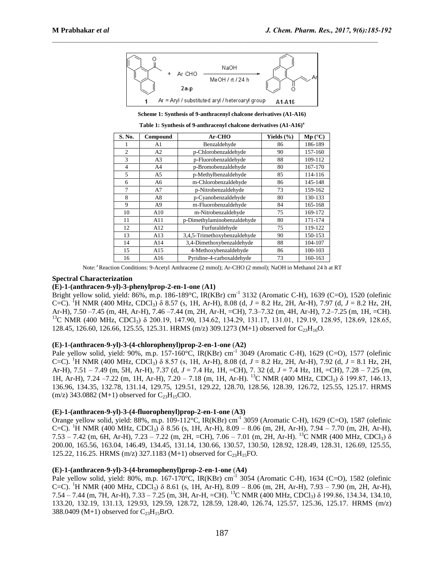

 $\mathcal{L}_\text{max}$ 

**Scheme 1: Synthesis of 9-anthracenyl chalcone derivatives (A1-A16)**

**Table 1: Synthesis of 9-anthracenyl chalcone derivatives (A1-A16) a**

| S. No.         | Compound       | Ar-CHO                       | Yields $(\% )$ | Mp (°C) |
|----------------|----------------|------------------------------|----------------|---------|
|                | A1             | Benzaldehyde                 | 86             | 186-189 |
| $\overline{c}$ | A2             | p-Chlorobenzaldehyde         | 90             | 157-160 |
| 3              | A <sub>3</sub> | p-Fluorobenzaldehyde         | 88             | 109-112 |
| 4              | A4             | p-Bromobenzaldehyde<br>80    |                | 167-170 |
| 5              | A5             | p-Methylbenzaldehyde         | 85             | 114-116 |
| 6              | A6             | m-Chlorobenzaldehyde         | 86             | 145-148 |
| 7              | A7             | p-Nitrobenzaldehyde          | 73             | 159-162 |
| 8              | A8             | p-Cyanobenzaldehyde          | 80             | 130-133 |
| 9              | A9             | m-Fluorobenzaldehyde         | 84             | 165-168 |
| 10             | A10            | m-Nitrobenzaldehyde          | 75             | 169-172 |
| 11             | A11            | p-Dimethylaminobenzaldehyde  | 80             | 171-174 |
| 12             | A12            | Furfuraldehyde               | 75             | 119-122 |
| 13             | A13            | 3,4,5-Trimethoxybenzaldehyde | 90             | 150-153 |
| 14             | A14            | 3,4-Dimethoxybenzaldehyde    | 88             | 104-107 |
| 15             | A15            | 4-Methoxybenzaldehyde<br>86  |                | 100-103 |
| 16             | A16            | Pyridine-4-carboxaldehyde    | 73             | 160-163 |

Note: <sup>a</sup>Reaction Conditions: 9-Acetyl Anthracene (2 mmol); Ar-CHO (2 mmol); NaOH in Methanol 24 h at RT

#### **Spectral Characterization**

#### **(E)-1-(anthracen-9-yl)-3-phenylprop-2-en-1-one** (**A1)**

Bright yellow solid, yield: 86%, m.p. 186-189°C, IR(KBr) cm<sup>-1</sup> 3132 (Aromatic C-H), 1639 (C=O), 1520 (olefinic C=C). <sup>1</sup>H NMR (400 MHz, CDCl3) δ 8.57 (s, 1H, Ar-H), 8.08 (d, *J* = 8.2 Hz, 2H, Ar-H), 7.97 (d, *J* = 8.2 Hz, 2H, Ar-H), 7.50 –7.45 (m, 4H, Ar-H), 7.46 –7.44 (m, 2H, Ar-H, =CH), 7.3–7.32 (m, 4H, Ar-H), 7.2–7.25 (m, 1H, =CH). <sup>13</sup>C NMR (400 MHz, CDCl<sub>3</sub>) δ 200.19, 147.90, 134.62, 134.29, 131.17, 131.01, 129.19, 128.95, 128.69, 128.65, 128.45, 126.60, 126.66, 125.55, 125.31. HRMS (m/z) 309.1273 (M+1) observed for  $C_{23}H_{16}O$ .

#### **(E)-1-(anthracen-9-yl)-3-(4-chlorophenyl)prop-2-en-1-one** (**A2)**

Pale yellow solid, yield: 90%, m.p. 157-160°C, IR(KBr) cm<sup>-1</sup> 3049 (Aromatic C-H), 1629 (C=O), 1577 (olefinic C=C). <sup>1</sup>H NMR (400 MHz, CDCl3) δ 8.57 (s, 1H, Ar-H), 8.08 (d, *J* = 8.2 Hz, 2H, Ar-H), 7.92 (d, *J* = 8.1 Hz, 2H, Ar-H), 7.51 – 7.49 (m, 5H, Ar-H), 7.37 (d, *J* = 7.4 Hz, 1H, =CH), 7. 32 (d, *J* = 7.4 Hz, 1H, =CH), 7.28 – 7.25 (m, 1H, Ar-H), 7.24 –7.22 (m, 1H, Ar-H), 7.20 – 7.18 (m, 1H, Ar-H). <sup>13</sup>C NMR (400 MHz, CDCl3) δ 199.87, 146.13, 136.96, 134.35, 132.78, 131.14, 129.75, 129.51, 129.22, 128.70, 128.56, 128.39, 126.72, 125.55, 125.17. HRMS (m/z) 343.0882 (M+1) observed for  $C_{23}H_{15}ClO$ .

## **(E)-1-(anthracen-9-yl)-3-(4-fluorophenyl)prop-2-en-1-one** (**A3)**

Orange yellow solid, yield: 88%, m.p. 109-112°C, IR(KBr) cm<sup>-1</sup> 3059 (Aromatic C-H), 1629 (C=O), 1587 (olefinic C=C). <sup>1</sup>H NMR (400 MHz, CDCl<sub>3</sub>) δ 8.56 (s, 1H, Ar-H), 8.09 – 8.06 (m, 2H, Ar-H), 7.94 – 7.70 (m, 2H, Ar-H), 7.53 – 7.42 (m, 6H, Ar-H), 7.23 – 7.22 (m, 2H, =CH), 7.06 – 7.01 (m, 2H, Ar-H). <sup>13</sup>C NMR (400 MHz, CDCl3) δ 200.00, 165.56, 163.04, 146.49, 134.45, 131.14, 130.66, 130.57, 130.50, 128.92, 128.49, 128.31, 126.69, 125.55, 125.22, 116.25. HRMS (m/z) 327.1183 (M+1) observed for  $C_{23}H_{15}FO$ .

# **(E)-1-(anthracen-9-yl)-3-(4-bromophenyl)prop-2-en-1-one** (**A4)**

Pale yellow solid, yield: 80%, m.p. 167-170°C, IR(KBr) cm<sup>-1</sup> 3054 (Aromatic C-H), 1634 (C=O), 1582 (olefinic C=C). <sup>1</sup>H NMR (400 MHz, CDCl<sub>3</sub>) δ 8.61 (s, 1H, Ar-H), 8.09 – 8.06 (m, 2H, Ar-H), 7.93 – 7.90 (m, 2H, Ar-H), 7.54 – 7.44 (m, 7H, Ar-H), 7.33 – 7.25 (m, 3H, Ar-H, =CH). <sup>13</sup>C NMR (400 MHz, CDCl<sub>3</sub>)  $\delta$  199.86, 134.34, 134.10, 133.20, 132.19, 131.13, 129.93, 129.59, 128.72, 128.59, 128.40, 126.74, 125.57, 125.36, 125.17. HRMS (m/z) 388.0409 (M+1) observed for  $C_{23}H_{15}BrO$ .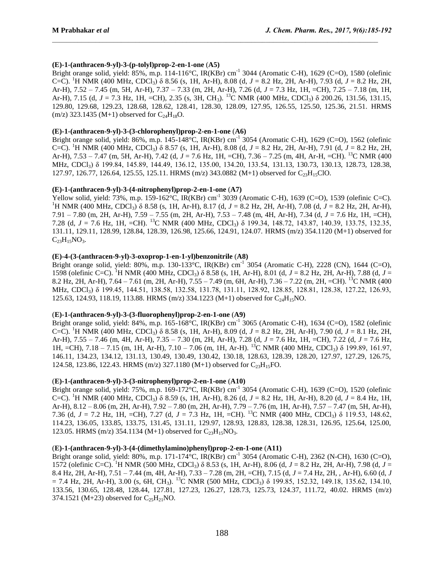# **(E)-1-(anthracen-9-yl)-3-(p-tolyl)prop-2-en-1-one** (**A5)**

Bright orange solid, yield: 85%, m.p. 114-116°C, IR(KBr) cm<sup>-1</sup> 3044 (Aromatic C-H), 1629 (C=O), 1580 (olefinic C=C). <sup>1</sup>H NMR (400 MHz, CDCl3) δ 8.56 (s, 1H, Ar-H), 8.08 (d, *J* = 8.2 Hz, 2H, Ar-H), 7.93 (d, *J* = 8.2 Hz, 2H, Ar-H), 7.52 – 7.45 (m, 5H, Ar-H), 7.37 – 7.33 (m, 2H, Ar-H), 7.26 (d, *J* = 7.3 Hz, 1H, =CH), 7.25 – 7.18 (m, 1H, Ar-H), 7.15 (d, *J* = 7.3 Hz, 1H, =CH), 2.35 (s, 3H, CH<sub>3</sub>). <sup>13</sup>C NMR (400 MHz, CDCl<sub>3</sub>) δ 200.26, 131.56, 131.15, 129.80, 129.68, 129.23, 128.68, 128.62, 128.41, 128.30, 128.09, 127.95, 126.55, 125.50, 125.36, 21.51. HRMS  $(m/z)$  323.1435 (M+1) observed for  $C_{24}H_{18}O$ .

 $\mathcal{L}_\text{max}$ 

# **(E)-1-(anthracen-9-yl)-3-(3-chlorophenyl)prop-2-en-1-one** (**A6)**

Bright orange solid, yield: 86%, m.p. 145-148°C, IR(KBr) cm<sup>-1</sup> 3054 (Aromatic C-H), 1629 (C=O), 1562 (olefinic C=C). <sup>1</sup>H NMR (400 MHz, CDCl3) δ 8.57 (s, 1H, Ar-H), 8.08 (d, *J* = 8.2 Hz, 2H, Ar-H), 7.91 (d, *J* = 8.2 Hz, 2H, Ar-H), 7.53 – 7.47 (m, 5H, Ar-H), 7.42 (d, *J* = 7.6 Hz, 1H, =CH), 7.36 – 7.25 (m, 4H, Ar-H, =CH). <sup>13</sup>C NMR (400 MHz, CDCl<sub>3</sub>) δ 199.84, 145.89, 144.49, 136.12, 135.00, 134.20, 133.54, 131.13, 130.73, 130.13, 128.73, 128.38, 127.97, 126.77, 126.64, 125.55, 125.11. HRMS (m/z) 343.0882 (M+1) observed for  $C_{23}H_{15}ClO$ .

## **(E)-1-(anthracen-9-yl)-3-(4-nitrophenyl)prop-2-en-1-one** (**A7)**

Yellow solid, yield:  $73\%$ , m.p.  $159-162^{\circ}$ C, IR(KBr) cm<sup>-1</sup> 3039 (Aromatic C-H), 1639 (C=O), 1539 (olefinic C=C). <sup>1</sup>H NMR (400 MHz, CDCl<sub>3</sub>) δ 8.58 (s, 1H, Ar-H), 8.17 (d, *J* = 8.2 Hz, 2H, Ar-H), 7.08 (d, *J* = 8.2 Hz, 2H, Ar-H), 7.91 – 7.80 (m, 2H, Ar-H), 7.59 – 7.55 (m, 2H, Ar-H), 7.53 – 7.48 (m, 4H, Ar-H), 7.34 (d, *J* = 7.6 Hz, 1H, =CH), 7.28 (d, *J* = 7.6 Hz, 1H, =CH). <sup>13</sup>C NMR (400 MHz, CDCl3) δ 199.34, 148.72, 143.87, 140.39, 133.75, 132.35, 131.11, 129.11, 128.99, 128.84, 128.39, 126.98, 125.66, 124.91, 124.07. HRMS (m/z) 354.1120 (M+1) observed for  $C_{23}H_{15}NO_3.$ 

## **(E)-4-(3-(anthracen-9-yl)-3-oxoprop-1-en-1-yl)benzonitrile** (**A8)**

Bright orange solid, yield: 80%, m.p. 130-133°C, IR(KBr) cm<sup>-1</sup> 3054 (Aromatic C-H), 2228 (CN), 1644 (C=O), 1598 (olefinic C=C). <sup>1</sup>H NMR (400 MHz, CDCl3) δ 8.58 (s, 1H, Ar-H), 8.01 (d, *J* = 8.2 Hz, 2H, Ar-H), 7.88 (d, *J* = 8.2 Hz, 2H, Ar-H), 7.64 – 7.61 (m, 2H, Ar-H), 7.55 – 7.49 (m, 6H, Ar-H), 7.36 – 7.22 (m, 2H, =CH). <sup>13</sup>C NMR (400 MHz, CDCl<sub>3</sub>) δ 199.45, 144.51, 138.58, 132.58, 131.78, 131.11, 128.92, 128.85, 128.81, 128.38, 127.22, 126.93, 125.63, 124.93, 118.19, 113.88. HRMS (m/z) 334.1223 (M+1) observed for  $C_{24}H_{15}NO$ .

# (**E)-1-(anthracen-9-yl)-3-(3-fluorophenyl)prop-2-en-1-one** (**A9)**

Bright orange solid, yield: 84%, m.p. 165-168°C, IR(KBr) cm<sup>-1</sup> 3065 (Aromatic C-H), 1634 (C=O), 1582 (olefinic C=C). <sup>1</sup>H NMR (400 MHz, CDCl3) δ 8.58 (s, 1H, Ar-H), 8.09 (d, *J* = 8.2 Hz, 2H, Ar-H), 7.90 (d, *J* = 8.1 Hz, 2H, Ar-H), 7.55 – 7.46 (m, 4H, Ar-H), 7.35 – 7.30 (m, 2H, Ar-H), 7.28 (d, *J* = 7.6 Hz, 1H, =CH), 7.22 (d, *J* = 7.6 Hz, 1H, =CH), 7.18 – 7.15 (m, 1H, Ar-H), 7.10 – 7.06 (m, 1H, Ar-H). <sup>13</sup>C NMR (400 MHz, CDCl<sub>3</sub>) δ 199.89, 161.97, 146.11, 134.23, 134.12, 131.13, 130.49, 130.49, 130.42, 130.18, 128.63, 128.39, 128.20, 127.97, 127.29, 126.75, 124.58, 123.86, 122.43. HRMS (m/z) 327.1180 (M+1) observed for  $C_{23}H_{15}FO$ .

#### (**E)-1-(anthracen-9-yl)-3-(3-nitrophenyl)prop-2-en-1-one** (**A10)**

Bright orange solid, yield: 75%, m.p. 169-172°C, IR(KBr) cm<sup>-1</sup> 3054 (Aromatic C-H), 1639 (C=O), 1520 (olefinic C=C). <sup>1</sup>H NMR (400 MHz, CDCl3) δ 8.59 (s, 1H, Ar-H), 8.26 (d, *J* = 8.2 Hz, 1H, Ar-H), 8.20 (d, *J* = 8.4 Hz, 1H, Ar-H), 8.12 – 8.06 (m, 2H, Ar-H), 7.92 – 7.80 (m, 2H, Ar-H), 7.79 – 7.76 (m, 1H, Ar-H), 7.57 – 7.47 (m, 5H, Ar-H), 7.36 (d, *J* = 7.2 Hz, 1H, =CH), 7.27 (d, *J* = 7.3 Hz, 1H, =CH). <sup>13</sup>C NMR (400 MHz, CDCl3) δ 119.53, 148.62, 114.23, 136.05, 133.85, 133.75, 131.45, 131.11, 129.97, 128.93, 128.83, 128.38, 128.31, 126.95, 125.64, 125.00, 123.05. HRMS (m/z) 354.1134 (M+1) observed for  $C_{23}H_{15}NO_3$ .

#### (**E)-1-(anthracen-9-yl)-3-(4-(dimethylamino)phenyl)prop-2-en-1-one** (**A11)**

Bright orange solid, yield: 80%, m.p. 171-174°C, IR(KBr) cm<sup>-1</sup> 3054 (Aromatic C-H), 2362 (N-CH), 1630 (C=O), 1572 (olefinic C=C). <sup>1</sup>H NMR (500 MHz, CDCl3) δ 8.53 (s, 1H, Ar-H), 8.06 (d, *J* = 8.2 Hz, 2H, Ar-H), 7.98 (d, *J* = 8.4 Hz, 2H, Ar-H), 7.51 – 7.44 (m, 4H, Ar-H), 7.33 – 7.28 (m, 2H, =CH), 7.15 (d, *J* = 7.4 Hz, 2H, , Ar-H), 6.60 (d, *J*  $= 7.4$  Hz, 2H, Ar-H), 3.00 (s, 6H, CH<sub>3</sub>). <sup>13</sup>C NMR (500 MHz, CDCl<sub>3</sub>) δ 199.85, 152.32, 149.18, 135.62, 134.10, 133.56, 130.65, 128.48, 128.44, 127.81, 127.23, 126.27, 128.73, 125.73, 124.37, 111.72, 40.02. HRMS (m/z) 374.1521 (M+23) observed for  $C_{25}H_{21}NO$ .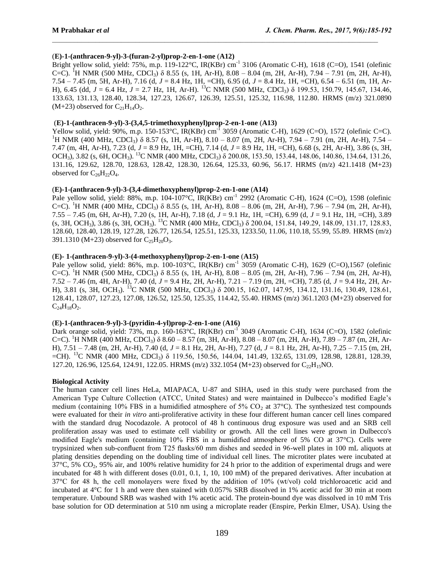## (**E)-1-(anthracen-9-yl)-3-(furan-2-yl)prop-2-en-1-one** (**A12)**

Bright yellow solid, yield: 75%, m.p. 119-122°C, IR(KBr) cm<sup>-1</sup> 3106 (Aromatic C-H), 1618 (C=O), 1541 (olefinic C=C). <sup>1</sup>H NMR (500 MHz, CDCl<sub>3</sub>)  $\delta$  8.55 (s, 1H, Ar-H), 8.08 – 8.04 (m, 2H, Ar-H), 7.94 – 7.91 (m, 2H, Ar-H), 7.54 – 7.45 (m, 5H, Ar-H), 7.16 (d, *J* = 8.4 Hz, 1H, =CH), 6.95 (d, *J* = 8.4 Hz, 1H, =CH), 6.54 – 6.51 (m, 1H, Ar-H), 6.45 (dd, *J* = 6.4 Hz, *J* = 2.7 Hz, 1H, Ar-H). <sup>13</sup>C NMR (500 MHz, CDCl3) δ 199.53, 150.79, 145.67, 134.46, 133.63, 131.13, 128.40, 128.34, 127.23, 126.67, 126.39, 125.51, 125.32, 116.98, 112.80. HRMS (m/z) 321.0890  $(M+23)$  observed for  $C_{21}H_{14}O_2$ .

 $\mathcal{L}_\text{max}$ 

# (**E)-1-(anthracen-9-yl)-3-(3,4,5-trimethoxyphenyl)prop-2-en-1-one** (**A13)**

Yellow solid, yield: 90%, m.p. 150-153°C, IR(KBr) cm<sup>-1</sup> 3059 (Aromatic C-H), 1629 (C=O), 1572 (olefinic C=C). <sup>1</sup>H NMR (400 MHz, CDCl<sub>3</sub>)  $\delta$  8.57 (s, 1H, Ar-H), 8.10 – 8.07 (m, 2H, Ar-H), 7.94 – 7.91 (m, 2H, Ar-H), 7.54 – 7.47 (m, 4H, Ar-H), 7.23 (d, *J* = 8.9 Hz, 1H, =CH), 7.14 (d, *J* = 8.9 Hz, 1H, =CH), 6.68 (s, 2H, Ar-H), 3.86 (s, 3H, OCH<sub>3</sub>), 3.82 (s, 6H, OCH<sub>3</sub>). <sup>13</sup>C NMR (400 MHz, CDCl<sub>3</sub>) δ 200.08, 153.50, 153.44, 148.06, 140.86, 134.64, 131.26, 131.16, 129.62, 128.70, 128.63, 128.42, 128.30, 126.64, 125.33, 60.96, 56.17. HRMS (m/z) 421.1418 (M+23) observed for  $C_{26}H_{22}O_4$ .

## (**E)-1-(anthracen-9-yl)-3-(3,4-dimethoxyphenyl)prop-2-en-1-one** (**A14)**

Pale yellow solid, yield: 88%, m.p. 104-107°C, IR(KBr) cm<sup>-1</sup> 2992 (Aromatic C-H), 1624 (C=O), 1598 (olefinic C=C). <sup>1</sup>H NMR (400 MHz, CDCl<sub>3</sub>)  $\delta$  8.55 (s, 1H, Ar-H), 8.08 – 8.06 (m, 2H, Ar-H), 7.96 – 7.94 (m, 2H, Ar-H), 7.55 – 7.45 (m, 6H, Ar-H), 7.20 (s, 1H, Ar-H), 7.18 (d, *J* = 9.1 Hz, 1H, =CH), 6.99 (d, *J* = 9.1 Hz, 1H, =CH), 3.89  $(s, 3H, OCH_3)$ , 3.86  $(s, 3H, OCH_3)$ . <sup>13</sup>C NMR (400 MHz, CDCl<sub>3</sub>)  $\delta$  200.04, 151.84, 149.29, 148.09, 131.17, 128.83, 128.60, 128.40, 128.19, 127.28, 126.77, 126.54, 125.51, 125.33, 1233.50, 11.06, 110.18, 55.99, 55.89. HRMS (m/z) 391.1310 (M+23) observed for  $C_{25}H_{20}O_3$ .

#### (**E)- 1-(anthracen-9-yl)-3-(4-methoxyphenyl)prop-2-en-1-one** (**A15)**

Pale yellow solid, yield: 86%, m.p. 100-103°C, IR(KBr) cm<sup>-1</sup> 3059 (Aromatic C-H), 1629 (C=O),1567 (olefinic C=C). <sup>1</sup>H NMR (500 MHz, CDCl<sub>3</sub>) δ 8.55 (s, 1H, Ar-H), 8.08 – 8.05 (m, 2H, Ar-H), 7.96 – 7.94 (m, 2H, Ar-H), 7.52 – 7.46 (m, 4H, Ar-H), 7.40 (d, *J* = 9.4 Hz, 2H, Ar-H), 7.21 – 7.19 (m, 2H, =CH), 7.85 (d, *J* = 9.4 Hz, 2H, Ar-H), 3.81 (s, 3H, OCH3). <sup>13</sup>C NMR (500 MHz, CDCl3) δ 200.15, 162.07, 147.95, 134.12, 131.16, 130.49, 128.61, 128.41, 128.07, 127.23, 127.08, 126.52, 125.50, 125.35, 114.42, 55.40. HRMS (m/z) 361.1203 (M+23) observed for  $C_{24}H_{18}O_2.$ 

#### (**E)-1-(anthracen-9-yl)-3-(pyridin-4-yl)prop-2-en-1-one** (**A16)**

Dark orange solid, yield: 73%, m.p. 160-163°C, IR(KBr) cm<sup>-1</sup> 3049 (Aromatic C-H), 1634 (C=O), 1582 (olefinic C=C). <sup>1</sup>H NMR (400 MHz, CDCl<sub>3</sub>)  $\delta$  8.60 – 8.57 (m, 3H, Ar-H), 8.08 – 8.07 (m, 2H, Ar-H), 7.89 – 7.87 (m, 2H, Ar-H), 7.51 – 7.48 (m, 2H, Ar-H), 7.40 (d, *J* = 8.1 Hz, 2H, Ar-H), 7.27 (d, *J* = 8.1 Hz, 2H, Ar-H), 7.25 – 7.15 (m, 2H, =CH). <sup>13</sup>C NMR (400 MHz, CDCl<sub>3</sub>) δ 119.56, 150.56, 144.04, 141.49, 132.65, 131.09, 128.98, 128.81, 128.39, 127.20, 126.96, 125.64, 124.91, 122.05. HRMS (m/z) 332.1054 (M+23) observed for  $C_2H_15NO$ .

#### **Biological Activity**

The human cancer cell lines HeLa, MIAPACA, U-87 and SIHA, used in this study were purchased from the American Type Culture Collection (ATCC, United States) and were maintained in Dulbecco's modified Eagle's medium (containing 10% FBS in a humidified atmosphere of 5%  $CO<sub>2</sub>$  at 37°C). The synthesized test compounds were evaluated for their *in vitro* anti-proliferative activity in these four different human cancer cell lines compared with the standard drug Nocodazole. A protocol of 48 h continuous drug exposure was used and an SRB cell proliferation assay was used to estimate cell viability or growth. All the cell lines were grown in Dulbecco's modified Eagle's medium (containing 10% FBS in a humidified atmosphere of 5% CO at 37°C). Cells were trypsinized when sub-confluent from T25 flasks/60 mm dishes and seeded in 96-well plates in 100 mL aliquots at plating densities depending on the doubling time of individual cell lines. The microtiter plates were incubated at  $37^{\circ}$ C, 5% CO<sub>2</sub>, 95% air, and 100% relative humidity for 24 h prior to the addition of experimental drugs and were incubated for 48 h with different doses (0.01, 0.1, 1, 10, 100 mM) of the prepared derivatives. After incubation at 37°C for 48 h, the cell monolayers were fixed by the addition of 10% (wt/vol) cold trichloroacetic acid and incubated at 4°C for 1 h and were then stained with 0.057% SRB dissolved in 1% acetic acid for 30 min at room temperature. Unbound SRB was washed with 1% acetic acid. The protein-bound dye was dissolved in 10 mM Tris base solution for OD determination at 510 nm using a microplate reader (Enspire, Perkin Elmer, USA). Using the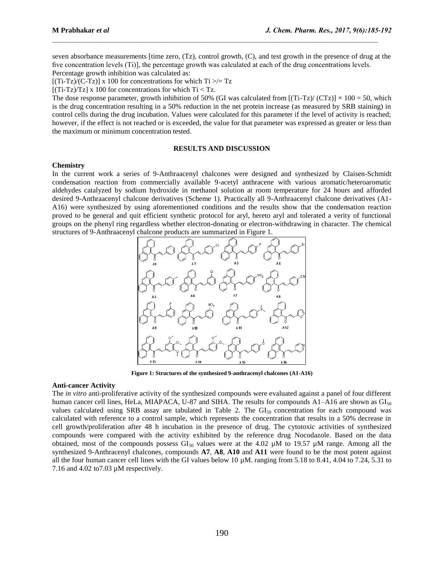seven absorbance measurements [time zero, (Tz), control growth, (C), and test growth in the presence of drug at the five concentration levels (Ti)], the percentage growth was calculated at each of the drug concentrations levels.

 $\mathcal{L}_\text{max}$ 

Percentage growth inhibition was calculated as:

 $[(Ti-Tz)/(C-Tz)]$  x 100 for concentrations for which  $Ti \gg Tz$ 

 $[(Ti-Tz)/Tz]$  x 100 for concentrations for which  $Ti < Tz$ .

The dose response parameter, growth inhibition of 50% (GI was calculated from  $[(Ti-Tz)/(CTz)] \times 100 = 50$ , which is the drug concentration resulting in a 50% reduction in the net protein increase (as measured by SRB staining) in control cells during the drug incubation. Values were calculated for this parameter if the level of activity is reached; however, if the effect is not reached or is exceeded, the value for that parameter was expressed as greater or less than the maximum or minimum concentration tested.

#### **RESULTS AND DISCUSSION**

#### **Chemistry**

In the current work a series of 9-Anthraacenyl chalcones were designed and synthesized by Claisen-Schmidt condensation reaction from commercially available 9-acetyl anthracene with various aromatic/heteroaromatic aldehydes catalyzed by sodium hydroxide in methanol solution at room temperature for 24 hours and afforded desired 9-Anthraacenyl chalcone derivatives (Scheme 1). Practically all 9-Anthraacenyl chalcone derivatives (A1- A16) were synthesized by using aforementioned conditions and the results show that the condensation reaction proved to be general and quit efficient synthetic protocol for aryl, hereto aryl and tolerated a verity of functional groups on the phenyl ring regardless whether electron-donating or electron-withdrawing in character. The chemical structures of 9-Anthraacenyl chalcone products are summarized in Figure 1.



**Figure 1: Structures of the synthesized 9-anthracenyl chalcones (A1-A16)**

#### **Anti-cancer Activity**

The *in vitro* anti-proliferative activity of the synthesized compounds were evaluated against a panel of four different human cancer cell lines, HeLa, MIAPACA, U-87 and SIHA. The results for compounds  $A1-A16$  are shown as  $GI<sub>50</sub>$ values calculated using SRB assay are tabulated in Table 2. The  $GI<sub>50</sub>$  concentration for each compound was calculated with reference to a control sample, which represents the concentration that results in a 50% decrease in cell growth/proliferation after 48 h incubation in the presence of drug. The cytotoxic activities of synthesized compounds were compared with the activity exhibited by the reference drug Nocodazole. Based on the data obtained, most of the compounds possess  $GI_{50}$  values were at the 4.02  $\mu$ M to 19.57  $\mu$ M range. Among all the synthesized 9-Anthracenyl chalcones, compounds **A7**, **A8**, **A10** and **A11** were found to be the most potent against all the four human cancer cell lines with the GI values below 10  $\mu$ M. ranging from 5.18 to 8.41, 4.04 to 7.24, 5.31 to 7.16 and 4.02 to7.03 µM respectively.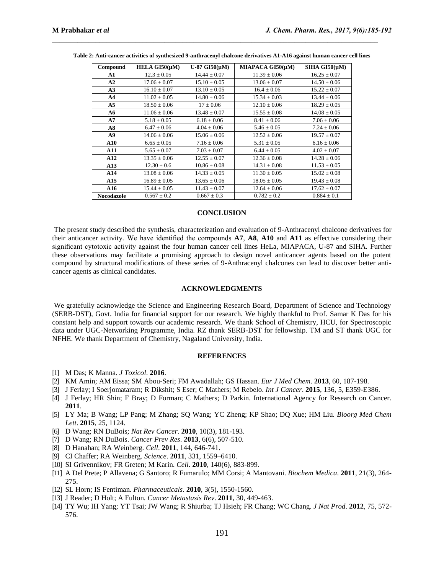| Compound          | HELA GI50(µM)    | U-87 GI50 $(\mu M)$ | MIAPACA GI50(µM) | $SIHA$ $GI50(\mu M)$ |
|-------------------|------------------|---------------------|------------------|----------------------|
| A1                | $12.3 \pm 0.05$  | $14.44 \pm 0.07$    | $11.39 \pm 0.06$ | $16.25 \pm 0.07$     |
| A2                | $17.06 \pm 0.07$ | $15.10 \pm 0.05$    | $13.06 \pm 0.07$ | $14.50 \pm 0.06$     |
| A3                | $16.10 \pm 0.07$ | $13.10 \pm 0.05$    | $16.4 \pm 0.06$  | $15.22 \pm 0.07$     |
| A <sub>4</sub>    | $11.02 \pm 0.05$ | $14.80 \pm 0.06$    | $15.34 \pm 0.03$ | $13.44 \pm 0.06$     |
| A <sub>5</sub>    | $18.50 \pm 0.06$ | $17 \pm 0.06$       | $12.10 \pm 0.06$ | $18.29 \pm 0.05$     |
| A6                | $11.06 \pm 0.06$ | $13.48 \pm 0.07$    | $15.55 \pm 0.08$ | $14.08 \pm 0.05$     |
| A7                | $5.18 \pm 0.05$  | $6.18 \pm 0.06$     | $8.41 \pm 0.06$  | $7.06 \pm 0.06$      |
| A8                | $6.47 \pm 0.06$  | $4.04 \pm 0.06$     | $5.46 \pm 0.05$  | $7.24 \pm 0.06$      |
| A9                | $14.06 \pm 0.06$ | $15.06 \pm 0.06$    | $12.52 \pm 0.06$ | $19.57 \pm 0.07$     |
| A10               | $6.65 \pm 0.05$  | $7.16 \pm 0.06$     | $5.31 \pm 0.05$  | $6.16 \pm 0.06$      |
| <b>A11</b>        | $5.65 \pm 0.07$  | $7.03 \pm 0.07$     | $6.44 \pm 0.05$  | $4.02 \pm 0.07$      |
| A12               | $13.35 \pm 0.06$ | $12.55 \pm 0.07$    | $12.36 \pm 0.08$ | $14.28 \pm 0.06$     |
| A13               | $12.30 \pm 0.6$  | $10.86 \pm 0.08$    | $14.31 \pm 0.08$ | $11.53 \pm 0.05$     |
| A14               | $13.08 \pm 0.06$ | $14.33 \pm 0.05$    | $11.30 \pm 0.05$ | $15.02 \pm 0.08$     |
| A15               | $16.89 \pm 0.05$ | $13.65 \pm 0.06$    | $18.05 \pm 0.05$ | $19.43 \pm 0.08$     |
| A16               | $15.44 \pm 0.05$ | $11.43 \pm 0.07$    | $12.64 \pm 0.06$ | $17.62 \pm 0.07$     |
| <b>Nocodazole</b> | $0.567 \pm 0.2$  | $0.667 \pm 0.3$     | $0.782 \pm 0.2$  | $0.884 \pm 0.1$      |

**Table 2: Anti-cancer activities of synthesized 9-anthracenyl chalcone derivatives A1-A16 against human cancer cell lines**

 $\mathcal{L}_\text{max}$ 

#### **CONCLUSION**

The present study described the synthesis, characterization and evaluation of 9-Anthracenyl chalcone derivatives for their anticancer activity. We have identified the compounds **A7**, **A8**, **A10** and **A11** as effective considering their significant cytotoxic activity against the four human cancer cell lines HeLa, MIAPACA, U-87 and SIHA. Further these observations may facilitate a promising approach to design novel anticancer agents based on the potent compound by structural modifications of these series of 9-Anthracenyl chalcones can lead to discover better anticancer agents as clinical candidates.

#### **ACKNOWLEDGMENTS**

We gratefully acknowledge the Science and Engineering Research Board, Department of Science and Technology (SERB-DST), Govt. India for financial support for our research. We highly thankful to Prof. Samar K Das for his constant help and support towards our academic research. We thank School of Chemistry, HCU, for Spectroscopic data under UGC-Networking Programme, India. RZ thank SERB-DST for fellowship. TM and ST thank UGC for NFHE. We thank Department of Chemistry, Nagaland University, India.

#### **REFERENCES**

- [1] M Das; K Manna. *J Toxicol*. **2016**.
- [2] KM Amin; AM Eissa; SM Abou-Seri; FM Awadallah; GS Hassan. *Eur J Med Chem*. **2013**, 60, 187-198.
- [3] J Ferlay; I Soerjomataram; R Dikshit; S Eser; C Mathers; M Rebelo. *Int J Cancer*. **2015**, 136, 5, E359-E386.
- [4] J Ferlay; HR Shin; F Bray; D Forman; C Mathers; D Parkin. International Agency for Research on Cancer. **2011**.
- [5] LY Ma; B Wang; LP Pang; M Zhang; SQ Wang; YC Zheng; KP Shao; DQ Xue; HM Liu. *Bioorg Med Chem Lett*. **2015**, 25, 1124.
- [6] D Wang; RN DuBois; *Nat Rev Cancer*. **2010**, 10(3), 181-193.
- [7] D Wang; RN DuBois. *Cancer Prev Res*. **2013**, 6(6), 507-510.
- [8] D Hanahan; RA Weinberg. *Cell*. **2011**, 144, 646-741.
- [9] CI Chaffer; RA Weinberg. *Science*. **2011**, 331, 1559–6410.
- [10] SI Grivennikov; FR Greten; M Karin. *Cell*. **2010**, 140(6), 883-899.
- [11] A Del Prete; P Allavena; G Santoro; R Fumarulo; MM Corsi; A Mantovani. *Biochem Medica*. **2011**, 21(3), 264- 275.
- [12] SL Horn; IS Fentiman. *Pharmaceuticals*. **2010**, 3(5), 1550-1560.
- [13] J Reader; D Holt; A Fulton. *Cancer Metastasis Rev*. **2011**, 30, 449-463.
- [14] TY Wu; IH Yang; YT Tsai; JW Wang; R Shiurba; TJ Hsieh; FR Chang; WC Chang. *J Nat Prod*. **2012**, 75, 572- 576.